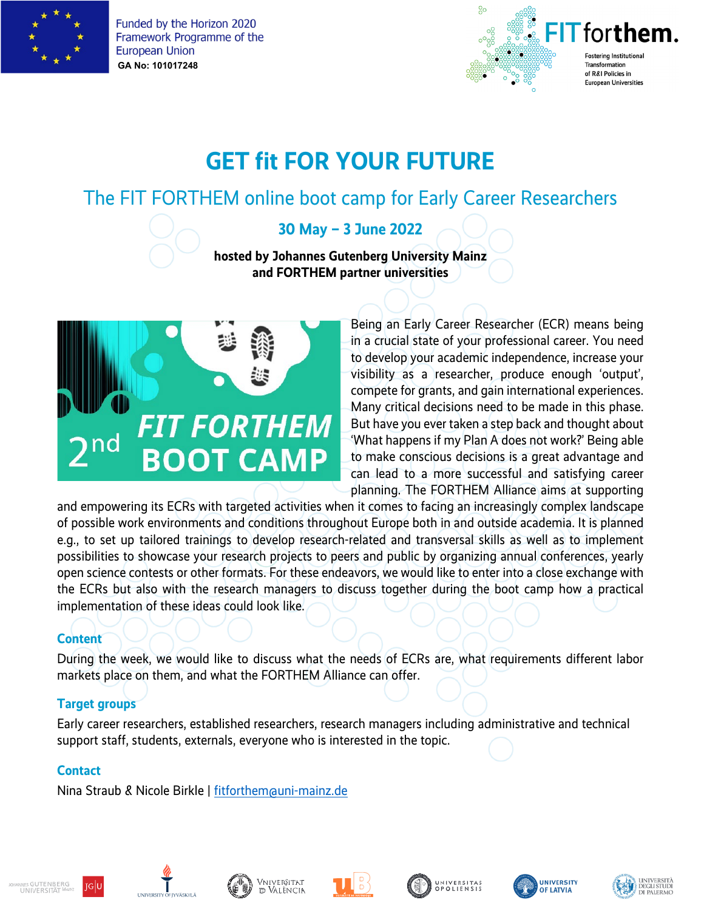



# **GET fit FOR YOUR FUTURE**

# The FIT FORTHEM online boot camp for Early Career Researchers

# **30 May – 3 June 2022**

#### **hosted by Johannes Gutenberg University Mainz and FORTHEM partner universities**



Being an Early Career Researcher (ECR) means being in a crucial state of your professional career. You need to develop your academic independence, increase your visibility as a researcher, produce enough 'output', compete for grants, and gain international experiences. Many critical decisions need to be made in this phase. But have you ever taken a step back and thought about 'What happens if my Plan A does not work?' Being able to make conscious decisions is a great advantage and can lead to a more successful and satisfying career planning. The FORTHEM Alliance aims at supporting

and empowering its ECRs with targeted activities when it comes to facing an increasingly complex landscape of possible work environments and conditions throughout Europe both in and outside academia. It is planned e.g., to set up tailored trainings to develop research-related and transversal skills as well as to implement possibilities to showcase your research projects to peers and public by organizing annual conferences, yearly open science contests or other formats. For these endeavors, we would like to enter into a close exchange with the ECRs but also with the research managers to discuss together during the boot camp how a practical implementation of these ideas could look like.

## **Content**

During the week, we would like to discuss what the needs of ECRs are, what requirements different labor markets place on them, and what the FORTHEM Alliance can offer.

#### **Target groups**

Early career researchers, established researchers, research managers including administrative and technical support staff, students, externals, everyone who is interested in the topic.

## **Contact**

Nina Straub & Nicole Birkle | [fitforthem@uni-mainz.de](mailto:fitforthem@uni-mainz.de)











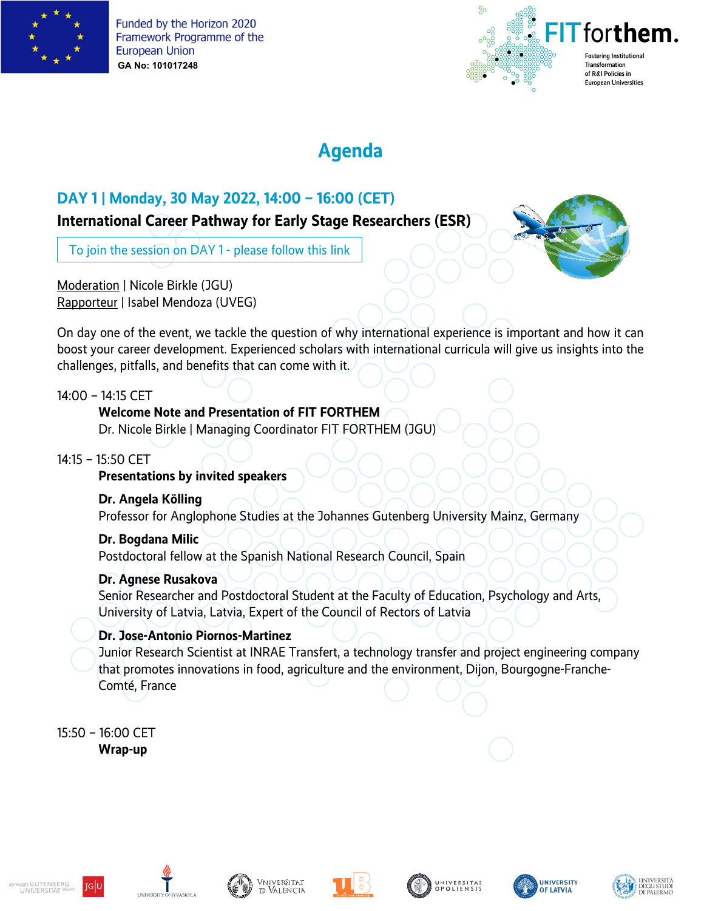



# **Agenda**

# **DAY 1 | Monday, 30 May 2022, 14:00 – 16:00 (CET)**

## **International Career Pathway for Early Stage Researchers (ESR)**

[To join the session on DAY 1 -](https://teams.microsoft.com/l/meetup-join/19%3ameeting_Y2JhOTk4M2UtYWFjZC00NjFmLTkxOTYtMzEyNzNkYzU1YjIy%40thread.v2/0?context=%7b%22Tid%22%3a%222fa58faf-7eb1-48b9-9964-a92659d1c5b8%22%2c%22Oid%22%3a%2216dba980-370e-4d87-87f0-d70daab94298%22%7d) please follow this link

Moderation | Nicole Birkle (JGU) Rapporteur | Isabel Mendoza (UVEG)

On day one of the event, we tackle the question of why international experience is important and how it can boost your career development. Experienced scholars with international curricula will give us insights into the challenges, pitfalls, and benefits that can come with it.

14:00 – 14:15 CET

## **Welcome Note and Presentation of FIT FORTHEM**

Dr. Nicole Birkle | Managing Coordinator FIT FORTHEM (JGU)

## 14:15 – 15:50 CET

## **Presentations by invited speakers**

**Dr. Angela Kölling**

Professor for Anglophone Studies at the Johannes Gutenberg University Mainz, Germany

**Dr. Bogdana Milic** Postdoctoral fellow at the Spanish National Research Council, Spain

## **Dr. Agnese Rusakova**

Senior Researcher and Postdoctoral Student at the Faculty of Education, Psychology and Arts, University of Latvia, Latvia, Expert of the Council of Rectors of Latvia

## **Dr. Jose-Antonio Piornos-Martinez**

Junior Research Scientist at INRAE Transfert, a technology transfer and project engineering company that promotes innovations in food, agriculture and the environment, Dijon, Bourgogne-Franche-Comté, France

15:50 – 16:00 CET **Wrap-up** 

















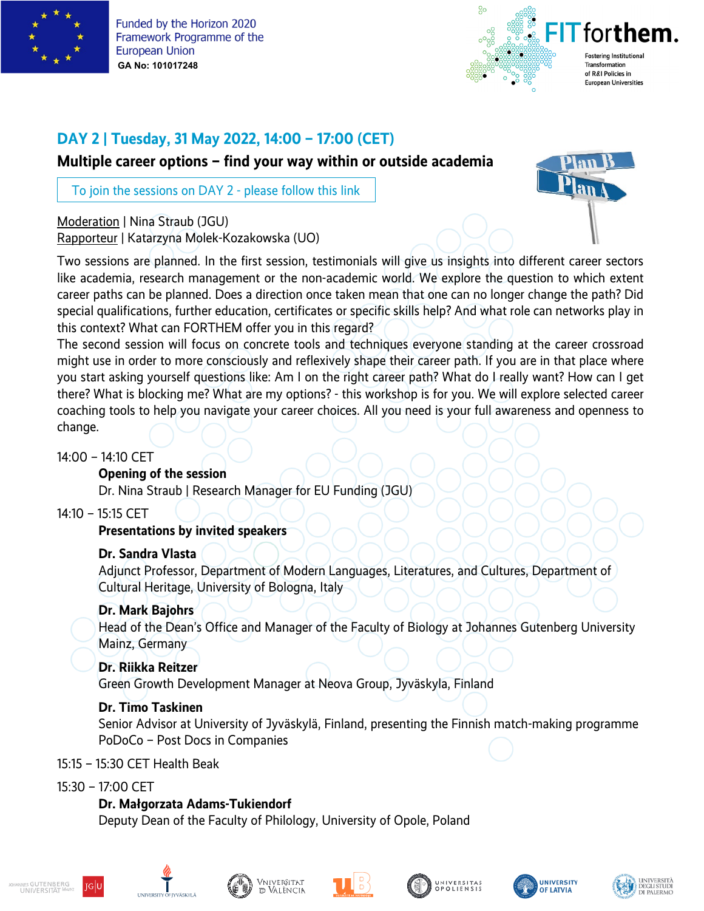



## **DAY 2 | Tuesday, 31 May 2022, 14:00 – 17:00 (CET)**

**Multiple career options – find your way within or outside academia** 

[To join the sessions on DAY 2 -](https://teams.microsoft.com/l/meetup-join/19%3ameeting_MzE3MDc5MGQtOTQwZi00ZDg5LWFjMmItM2I1ZjM5Y2E4NjRi%40thread.v2/0?context=%7b%22Tid%22%3a%222fa58faf-7eb1-48b9-9964-a92659d1c5b8%22%2c%22Oid%22%3a%2216dba980-370e-4d87-87f0-d70daab94298%22%7d) please follow this link

Moderation | Nina Straub (JGU) Rapporteur | Katarzyna Molek-Kozakowska (UO)

Two sessions are planned. In the first session, testimonials will give us insights into different career sectors like academia, research management or the non-academic world. We explore the question to which extent career paths can be planned. Does a direction once taken mean that one can no longer change the path? Did special qualifications, further education, certificates or specific skills help? And what role can networks play in this context? What can FORTHEM offer you in this regard?

The second session will focus on concrete tools and techniques everyone standing at the career crossroad might use in order to more consciously and reflexively shape their career path. If you are in that place where you start asking yourself questions like: Am I on the right career path? What do I really want? How can I get there? What is blocking me? What are my options? - this workshop is for you. We will explore selected career coaching tools to help you navigate your career choices. All you need is your full awareness and openness to change.

#### 14:00 – 14:10 CET

#### **Opening of the session**

Dr. Nina Straub | Research Manager for EU Funding (JGU)

#### 14:10 – 15:15 CET

#### **Presentations by invited speakers**

#### **Dr. Sandra Vlasta**

Adjunct Professor, Department of Modern Languages, Literatures, and Cultures, Department of Cultural Heritage, University of Bologna, Italy

#### **Dr. Mark Bajohrs**

Head of the Dean's Office and Manager of the Faculty of Biology at Johannes Gutenberg University Mainz, Germany

#### **Dr. Riikka Reitzer**

Green Growth Development Manager at Neova Group, Jyväskyla, Finland

#### **Dr. Timo Taskinen**

Senior Advisor at University of Jyväskylä, Finland, presenting the Finnish match-making programme PoDoCo – Post Docs in Companies

#### 15:15 – 15:30 CET Health Beak

#### 15:30 – 17:00 CET

#### **Dr. Małgorzata Adams-Tukiendorf**

Deputy Dean of the Faculty of Philology, University of Opole, Poland











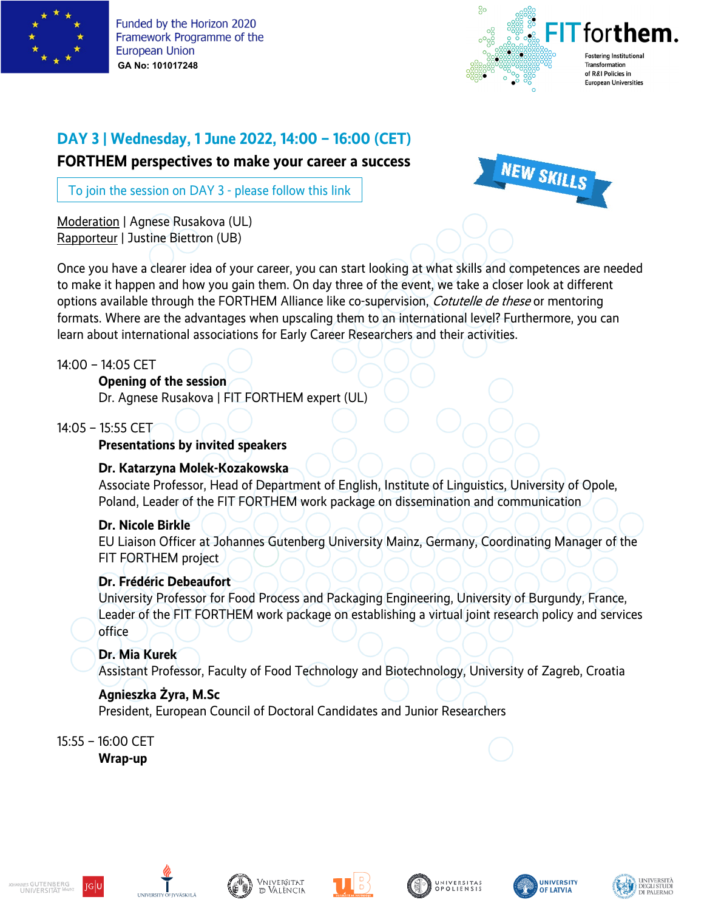



# **DAY 3 | Wednesday, 1 June 2022, 14:00 – 16:00 (CET)**

**FORTHEM perspectives to make your career a success**

[To join the session on DAY 3 -](https://teams.microsoft.com/l/meetup-join/19%3ameeting_ZTc4ZTcwMmUtYjVkNi00ZGU3LTkzNDctODEzNDQ2ODc3N2Ji%40thread.v2/0?context=%7b%22Tid%22%3a%222fa58faf-7eb1-48b9-9964-a92659d1c5b8%22%2c%22Oid%22%3a%2216dba980-370e-4d87-87f0-d70daab94298%22%7d) please follow this link

Moderation | Agnese Rusakova (UL) Rapporteur | Justine Biettron (UB)



Once you have a clearer idea of your career, you can start looking at what skills and competences are needed to make it happen and how you gain them. On day three of the event, we take a closer look at different options available through the FORTHEM Alliance like co-supervision, *Cotutelle de these* or mentoring formats. Where are the advantages when upscaling them to an international level? Furthermore, you can learn about international associations for Early Career Researchers and their activities.

14:00 – 14:05 CET

### **Opening of the session**

Dr. Agnese Rusakova | FIT FORTHEM expert (UL)

14:05 – 15:55 CET

### **Presentations by invited speakers**

#### **Dr. Katarzyna Molek-Kozakowska**

Associate Professor, Head of Department of English, Institute of Linguistics, University of Opole, Poland, Leader of the FIT FORTHEM work package on dissemination and communication

## **Dr. Nicole Birkle**

EU Liaison Officer at Johannes Gutenberg University Mainz, Germany, Coordinating Manager of the FIT FORTHEM project

## **Dr. Frédéric Debeaufort**

University Professor for Food Process and Packaging Engineering, University of Burgundy, France, Leader of the FIT FORTHEM work package on establishing a virtual joint research policy and services office

## **Dr. Mia Kurek**

Assistant Professor, Faculty of Food Technology and Biotechnology, University of Zagreb, Croatia

## **Agnieszka Żyra, M.Sc**

President, European Council of Doctoral Candidates and Junior Researchers

15:55 – 16:00 CET **Wrap-up** 











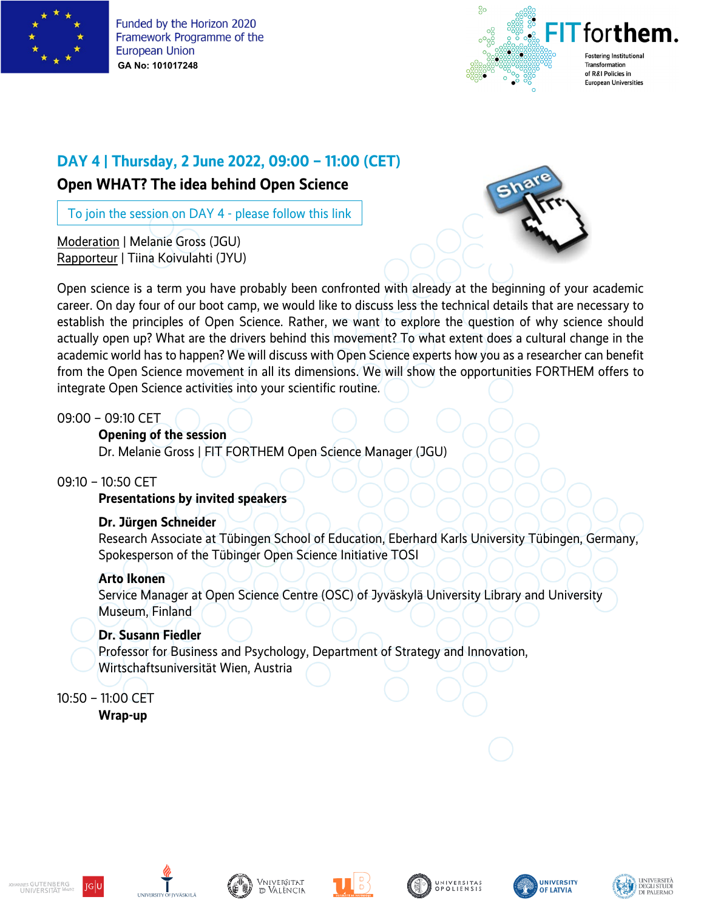



## **DAY 4 | Thursday, 2 June 2022, 09:00 – 11:00 (CET)**

## **Open WHAT? The idea behind Open Science**

[To join the session on DAY 4 -](https://teams.microsoft.com/l/meetup-join/19%3ameeting_MmNjNDk2YzUtMGUyNy00MjhjLThhOTItMzdkMWY0NGY2OGM3%40thread.v2/0?context=%7b%22Tid%22%3a%222fa58faf-7eb1-48b9-9964-a92659d1c5b8%22%2c%22Oid%22%3a%2216dba980-370e-4d87-87f0-d70daab94298%22%7d) please follow this link

Moderation | Melanie Gross (JGU) Rapporteur | Tiina Koivulahti (JYU)



Open science is a term you have probably been confronted with already at the beginning of your academic career. On day four of our boot camp, we would like to discuss less the technical details that are necessary to establish the principles of Open Science. Rather, we want to explore the question of why science should actually open up? What are the drivers behind this movement? To what extent does a cultural change in the academic world has to happen? We will discuss with Open Science experts how you as a researcher can benefit from the Open Science movement in all its dimensions. We will show the opportunities FORTHEM offers to integrate Open Science activities into your scientific routine.

09:00 – 09:10 CET

**Opening of the session**

Dr. Melanie Gross | FIT FORTHEM Open Science Manager (JGU)

### 09:10 – 10:50 CET

**Presentations by invited speakers**

#### **Dr. Jürgen Schneider**

Research Associate at Tübingen School of Education, Eberhard Karls University Tübingen, Germany, Spokesperson of the Tübinger Open Science Initiative TOSI

#### **Arto Ikonen**

Service Manager at Open Science Centre (OSC) of Jyväskylä University Library and University Museum, Finland

#### **Dr. Susann Fiedler**

Professor for Business and Psychology, Department of Strategy and Innovation, Wirtschaftsuniversität Wien, Austria

10:50 – 11:00 CET

**Wrap-up**